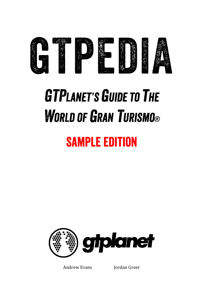

## **GTPLANET'S GUIDE TO THE WORLD OF GRAN TURISMO®**

### **SAMPLE EDITION**



Andrew Evans Jordan Greer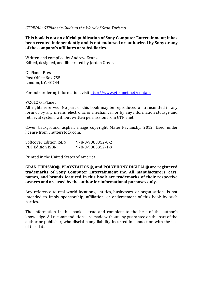#### *GTPEDIA: GTPlanet's Guide to the World of Gran Turismo*

**This book is not an official publication of Sony Computer Entertainment; it has been created independently and is not endorsed or authorized by Sony or any**  of the company's affiliates or subsidiaries.

Written and compiled by Andrew Evans. Edited, designed, and illustrated by Jordan Greer.

GTPlanet Press Post Office Box 755 London, KY, 40744

For bulk ordering information, visit http://www.gtplanet.net/contact.

#### ©2012 GTPlanet

All rights reserved. No part of this book may be reproduced or transmitted in any form or by any means, electronic or mechanical, or by any information storage and retrieval system, without written permission from GTPlanet.

Cover background asphalt image copyright Matej Pavlansky, 2012. Used under license from Shutterstock.com.

| Softcover Edition ISBN: | 978-0-9883352-0-2 |
|-------------------------|-------------------|
| PDF Edition ISBN:       | 978-0-9883352-1-9 |

Printed in the United States of America.

**GRAN TURISMO®, PLAYSTATION®, and POLYPHONY DIGITAL® are registered**  trademarks of Sony Computer Entertainment Inc. All manufacturers, cars, names, and brands featured in this book are trademarks of their respective **owners and are used by the author for informational purposes only.**

Any reference to real world locations, entities, businesses, or organizations is not intended to imply sponsorship, affiliation, or endorsement of this book by such parties.

The information in this book is true and complete to the best of the author's knowledge. All recommendations are made without any guarantee on the part of the author or publisher, who disclaim any liability incurred in connection with the use of this data.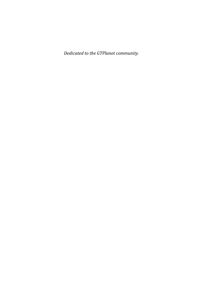*Dedicated to the GTPlanet community.*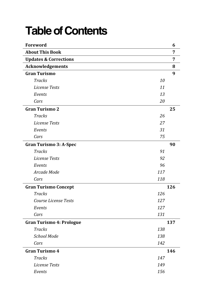### **Table of Contents**

| Foreword                         |     | 6   |
|----------------------------------|-----|-----|
| <b>About This Book</b>           |     | 7   |
| <b>Updates &amp; Corrections</b> |     | 7   |
| Acknowledgements                 |     | 8   |
| <b>Gran Turismo</b>              |     | 9   |
| <b>Tracks</b>                    | 10  |     |
| License Tests                    | 11  |     |
| Events                           | 13  |     |
| Cars                             | 20  |     |
| <b>Gran Turismo 2</b>            |     | 25  |
| <b>Tracks</b>                    | 26  |     |
| License Tests                    | 27  |     |
| Events                           | 31  |     |
| Cars                             | 75  |     |
| <b>Gran Turismo 3: A-Spec</b>    |     | 90  |
| Tracks                           | 91  |     |
| License Tests                    | 92  |     |
| Events                           | 96  |     |
| Arcade Mode                      | 117 |     |
| Cars                             | 118 |     |
| <b>Gran Turismo Concept</b>      |     | 126 |
| Tracks                           | 126 |     |
| Course License Tests             | 127 |     |
| Events                           | 127 |     |
| Cars                             | 131 |     |
| <b>Gran Turismo 4: Prologue</b>  |     | 137 |
| <b>Tracks</b>                    | 138 |     |
| School Mode                      | 138 |     |
| Cars                             | 142 |     |
| <b>Gran Turismo 4</b>            |     | 146 |
| <b>Tracks</b>                    | 147 |     |
| License Tests                    | 149 |     |
| Events                           | 156 |     |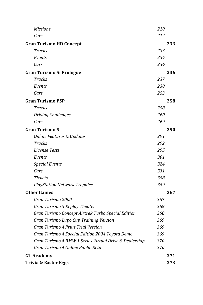| Missions                                               | 210 |
|--------------------------------------------------------|-----|
| Cars                                                   | 212 |
| <b>Gran Turismo HD Concept</b>                         | 233 |
| Tracks                                                 | 233 |
| Events                                                 | 234 |
| Cars                                                   | 234 |
| <b>Gran Turismo 5: Prologue</b>                        | 236 |
| Tracks                                                 | 237 |
| Events                                                 | 238 |
| Cars                                                   | 253 |
| <b>Gran Turismo PSP</b>                                | 258 |
| Tracks                                                 | 258 |
| <b>Driving Challenges</b>                              | 260 |
| Cars                                                   | 269 |
| <b>Gran Turismo 5</b>                                  | 290 |
| <b>Online Features &amp; Updates</b>                   | 291 |
| Tracks                                                 | 292 |
| License Tests                                          | 295 |
| Events                                                 | 301 |
| <b>Special Events</b>                                  | 324 |
| Cars                                                   | 331 |
| <b>Tickets</b>                                         | 358 |
| <b>PlayStation Network Trophies</b>                    | 359 |
| <b>Other Games</b>                                     | 367 |
| Gran Turismo 2000                                      | 367 |
| Gran Turismo 3 Replay Theater                          | 368 |
| Gran Turismo Concept Airtrek Turbo Special Edition     | 368 |
| Gran Turismo Lupo Cup Training Version                 | 369 |
| Gran Turismo 4 Prius Trial Version                     | 369 |
| Gran Turismo 4 Special Edition 2004 Toyota Demo        | 369 |
| Gran Turismo 4 BMW 1 Series Virtual Drive & Dealership | 370 |
| Gran Turismo 4 Online Public Beta                      | 370 |
| <b>GT Academy</b>                                      | 371 |
| <b>Trivia &amp; Easter Eggs</b>                        | 373 |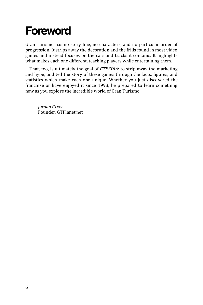### **Foreword**

Gran Turismo has no story line, no characters, and no particular order of progression. It strips away the decoration and the frills found in most video games and instead focuses on the cars and tracks it contains. It highlights what makes each one different, teaching players while entertaining them.

That, too, is ultimately the goal of *GTPEDIA*: to strip away the marketing and hype, and tell the story of these games through the facts, figures, and statistics which make each one unique. Whether you just discovered the franchise or have enjoyed it since 1998, be prepared to learn something new as you explore the incredible world of Gran Turismo.

*Jordan Greer* Founder, GTPlanet.net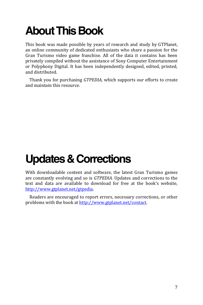### **About This Book**

This book was made possible by years of research and study by GTPlanet, an online community of dedicated enthusiasts who share a passion for the Gran Turismo video game franchise. All of the data it contains has been privately compiled without the assistance of Sony Computer Entertainment or Polyphony Digital. It has been independently designed, edited, printed, and distributed.

Thank you for purchasing *GTPEDIA*, which supports our efforts to create and maintain this resource.

### **Updates & Corrections**

With downloadable content and software, the latest Gran Turismo games are constantly evolving and so is *GTPEDIA*. Updates and corrections to the text and data are available to download for free at the book's website, http://www.gtplanet.net/gtpedia.

Readers are encouraged to report errors, necessary corrections, or other problems with the book at http://www.gtplanet.net/contact.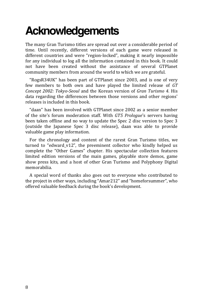### **Acknowledgements**

The many Gran Turismo titles are spread out over a considerable period of time. Until recently, different versions of each game were released in different countries and were "region-locked", making it nearly impossible for any individual to log all the information contained in this book. It could not have been created without the assistance of several GTPlanet community members from around the world to which we are grateful.

"RogsR34UK" has been part of GTPlanet since 2003, and is one of very few members to both own and have played the limited release of *GT Concept 2002: Tokyo-Seoul* and the Korean version of *Gran Turismo 4*. His data regarding the differences between those versions and other regions' releases is included in this book.

"daan" has been involved with GTPlanet since 2002 as a senior member of the site's forum moderation staff. With *GT5 Prologue*'s servers having been taken offline and no way to update the Spec 2 disc version to Spec 3 (outside the Japanese Spec 3 disc release), daan was able to provide valuable game play information.

For the chronology and content of the rarest Gran Turismo titles, we turned to "edward\_v12", the preeminent collector who kindly helped us complete the "Other Games" chapter. His spectacular collection features limited edition versions of the main games, playable store demos, game show press kits, and a host of other Gran Turismo and Polyphony Digital memorabilia.

A special word of thanks also goes out to everyone who contributed to the project in other ways, including "Amar212" and "homeforsummer", who offered valuable feedback during the book's development.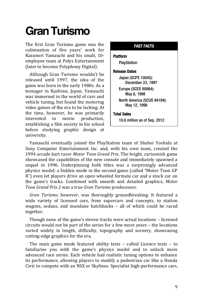The first Gran Turismo game was the culmination of five years' work for Kazunori Yamauchi and his small, 10 employee team at Polys Entertainment (later to become Polyphony Digital).

Although Gran Turismo wouldn't be released until 1997, the idea of the game was born in the early 1980s. As a teenager in Kashiwa, Japan, Yamauchi was immersed in the world of cars and vehicle tuning, but found the motoring video games of the era to be lacking. At the time, however, he was primarily interested in movie production, establishing a film society in his school before studying graphic design at university.

#### FAST FACTS

#### Platform

PlayStation

#### Release Dates

Japan (SCPS 10045): December 23, 1997

Europe (SCES 00984): May 8, 1998

North America (SCUS 94194): May 12, 1998

#### Total Sales

10.8 million as of Sep. 2012

Yamauchi eventually joined the PlayStation team of Shuhei Yoshida at Sony Computer Entertainment Inc. and, with his own team, created the 1994 arcade kart racer *Motor Toon Grand Prix*. The bright, cartoonish game showcased the capabilities of the new console and immediately spawned a sequel in 1996. Underpinning both titles was a surprisingly advanced physics model; a hidden mode in the second game (called "Motor Toon GP R") even let players drive an open wheeled formula car and a stock car on the game's tracks. Combined with smooth and detailed graphics, *Motor Toon Grand Prix 2* was a true *Gran Turismo* predecessor.

*Gran Turismo*, however, was thoroughly groundbreaking. It featured a wide variety of licensed cars, from supercars and concepts, to station wagons, sedans, and mundane hatchbacks – all of which could be raced together.

Though none of the game's eleven tracks were actual locations – licensed circuits would not be part of the series for a few more years – the locations varied widely in length, difficulty, topography and scenery, showcasing cutting-edge graphics for the era.

The main game mode featured ability tests – called Licence tests – to familiarise you with the game's physics model and to unlock more advanced race series. Each vehicle had realistic tuning options to enhance its performance, allowing players to modify a pedestrian car like a Honda Civic to compete with an NSX or Skylines. Specialist high-performance cars,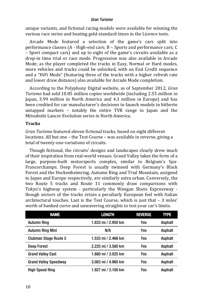unique variants, and fictional racing models were available for winning the various race series and beating gold-standard times in the Licence tests.

Arcade Mode featured a selection of the game's cars split into performance classes (A - High-end cars; B – Sports and performance cars; C – Sport compact cars) and up to eight of the game's circuits available as a drop-in time trial or race mode. Progression was also available in Arcade Mode; as the player completed the tracks in Easy, Normal or Hard modes, more vehicles and tracks could be unlocked, with an End Credit sequence and a "HiFi Mode" (featuring three of the tracks with a higher refresh rate and lower draw distance) also available for Arcade Mode completion.

According to the Polyphony Digital website, as of September 2012, *Gran Turismo* had sold 10.85 million copies worldwide (including 2.55 million in Japan, 3.99 million in North America and 4.3 million in Europe) and has been credited for car manufacturer's decisions to launch models in hitherto untapped markets – notably the entire TVR range in Japan and the Mitsubishi Lancer Evolution series in North America.

#### **Tracks**

*Gran Turismo* featured eleven fictional tracks, based on eight different locations. All but one – the Test Course – was available in reverse, giving a total of twenty-one variations of circuits.

Though fictional, the circuits' designs and landscapes clearly drew much of their inspiration from real-world venues. Grand Valley takes the form of a large, purpose-built motorsports complex, similar to Belgium's Spa-Francorchamps. Deep Forest is usually twinned with Germany's Black Forest and the Hockenheimring. Autumn Ring and Trial Mountain, assigned to Japan and Europe respectively, are similarly extra urban. Conversely, the two Route 5 tracks and Route 11 commonly draw comparisons with Tokyo's highway system - particularly the Wangan Shuto Expressway though sectors of the tracks retain a peculiarly European feel with Italian architectural touches. Last is the Test Course, which is just that – 3 miles' worth of banked curve and unwavering straights to test your car's limits.

| <b>NAME</b>                  | <b>LENGTH</b>       | <b>REVERSE</b> | <b>TYPE</b> |
|------------------------------|---------------------|----------------|-------------|
| <b>Autumn Ring</b>           | 1.833 mi / 2.950 km | Yes            | Asphalt     |
| Autumn Ring Mini             | N/A                 | Yes            | Asphalt     |
| <b>Clubman Stage Route 5</b> | 1.533 mi / 2.466 km | Yes            | Asphalt     |
| Deep Forest                  | 2.225 mi / 3.580 km | Yes            | Asphalt     |
| <b>Grand Valley East</b>     | 1.880 mi / 3.025 km | Yes            | Asphalt     |
| <b>Grand Valley Speedway</b> | 3.083 mi / 4.960 km | Yes            | Asphalt     |
| High Speed Ring              | 1.927 mi / 3.100 km | Yes            | Asphalt     |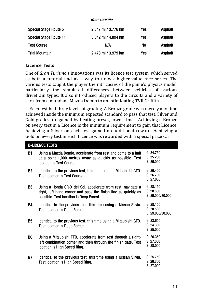| Gran Turismo |
|--------------|
|              |

| Special Stage Route 5         | 2 347 mi / 3 776 km | Yes | Asphalt |
|-------------------------------|---------------------|-----|---------|
| <b>Special Stage Route 11</b> | 3.042 mi / 4.894 km | Yes | Asphalt |
| <b>Test Course</b>            | N/A                 | No  | Asphalt |
| <b>Trial Mountain</b>         | 2.473 mi / 3.979 km | Yes | Asphalt |

#### **Licence Tests**

One of *Gran Turismo*'s innovations was its licence test system, which served as both a tutorial and as a way to unlock higher-value race series. The various tests taught the player the intricacies of the game's physics model, particularly the simulated differences between vehicles of various drivetrain types. It also introduced players to the circuits and a variety of cars, from a mundane Mazda Demio to an intimidating TVR Griffith.

Each test had three levels of grading. A Bronze grade was merely any time achieved inside the minimum expected standard to pass that test. Silver and Gold grades are gained by beating preset, lower times. Achieving a Bronze on every test in a Licence is the minimum requirement to gain that Licence. Achieving a Silver on each test gained no additional reward. Achieving a Gold on every test in each Licence was rewarded with a special prize car.

|    | <b>B-LICENCE TESTS</b>                                                                                                                                                    |                                            |
|----|---------------------------------------------------------------------------------------------------------------------------------------------------------------------------|--------------------------------------------|
| B1 | Using a Mazda Demio, accelerate from rest and come to a halt<br>at a point 1,000 metres away as quickly as possible. Test<br>location is Test Course.                     | G: 34.750<br>S: 35.200<br>B: 36.000        |
| B2 | Identical to the previous test, this time using a Mitsubishi GTO.<br><b>Test location is Test Course.</b>                                                                 | G: 26.400<br>S: 26.700<br>B: 27.000        |
| B3 | Using a Honda CR-X del Sol, accelerate from rest, navigate a<br>tight, left-hand corner and pass the finish line as quickly as<br>possible. Test location is Deep Forest. | G: 28.150<br>S: 28.500<br>B: 29.000/30.000 |
| B4 | Identical to the previous test, this time using a Nissan Silvia.<br><b>Test location is Deep Forest.</b>                                                                  | G: 28.150<br>S: 28.500<br>B: 29.000/30.000 |
| B5 | Identical to the previous test, this time using a Mitsubishi GTO.<br><b>Test location is Deep Forest.</b>                                                                 | G: 23.650<br>S: 24.300<br>B: 25.000        |
| B6 | Using a Mitsubishi FTO, accelerate from rest through a right-<br>left combination corner and then through the finish gate. Test<br>location is High Speed Ring.           | G: 26.350<br>S: 27.000<br>B: 28.000        |
| B7 | Identical to the previous test, this time using a Nissan Silvia.<br>Test location is High Speed Ring.                                                                     | G: 25.750<br>S: 26.300<br>B: 27,000        |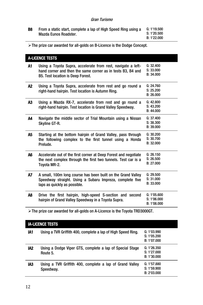| <b>B8</b> | From a static start, complete a lap of High Speed Ring using a<br>Mazda Eunos Roadster. | G: 1'19.500<br>S: 1'20.500<br>B: 1'22.000 |
|-----------|-----------------------------------------------------------------------------------------|-------------------------------------------|
|           |                                                                                         |                                           |

The prize car awarded for all-golds on B-Licence is the Dodge Concept.

|    | <b>A-LICENCE TESTS</b>                                                                                                                                                  |                                           |
|----|-------------------------------------------------------------------------------------------------------------------------------------------------------------------------|-------------------------------------------|
| A1 | Using a Toyota Supra, accelerate from rest, navigate a left-<br>hand corner and then the same corner as in tests B3, B4 and<br><b>B5. Test location is Deep Forest.</b> | G: 32.400<br>S: 33.000<br>B: 34.000       |
| A2 | Using a Toyota Supra, accelerate from rest and go round a<br>right-hand hairpin. Test location is Autumn Ring.                                                          | G: 24.760<br>S: 25.200<br>B: 26.000       |
| A3 | Using a Mazda RX-7, accelerate from rest and go round a<br>right-hand hairpin. Test location is Grand Valley Speedway.                                                  | G: 42.800<br>S: 43.200<br>B: 44.000       |
| A4 | Navigate the middle sector of Trial Mountain using a Nissan<br>Skyline GT-R.                                                                                            | G: 37.400<br>S: 38.300<br>B: 39.000       |
| A5 | Starting at the bottom hairpin of Grand Valley, pass through<br>the following complex to the first tunnel using a Honda<br>Prelude.                                     | G: 30.200<br>S: 30.700<br>B: 32.000       |
| A6 | Accelerate out of the first corner at Deep Forest and negotiate<br>the next complex through the first two tunnels. Test car is a<br>Toyota MR-2.                        | G: 26.150<br>S: 26.500<br>B: 27.000       |
| А7 | A small, 100m long course has been built on the Grand Valley<br>Speedway straight. Using a Subaru Impreza, complete five<br>laps as quickly as possible.                | G: 29.500<br>S: 31.000<br>B: 33.000       |
| A8 | Drive the first hairpin, high-speed S-section and second<br>hairpin of Grand Valley Speedway in a Toyota Supra.                                                         | G: 1'05.600<br>S: 1'06.000<br>B: 1'08.000 |
|    | $\triangleright$ The prize car awarded for all-golds on A-Licence is the Toyota TRD3000GT.                                                                              |                                           |
|    | <b>IA-I ICENCE TESTS</b>                                                                                                                                                |                                           |

|     | IA-LIVENVE TEOTO                                                      |                                           |
|-----|-----------------------------------------------------------------------|-------------------------------------------|
| IA1 | Using a TVR Griffith 400, complete a lap of High Speed Ring.          | G: 1'03.990<br>S: 1'05.200<br>B: 1'07.000 |
| IA2 | Using a Dodge Viper GTS, complete a lap of Special Stage<br>Route 5.  | G: 1'26.350<br>S: 1'27.000<br>B: 1'30.000 |
| IA3 | Using a TVR Griffith 400, complete a lap of Grand Valley<br>Speedway. | G: 1'57.880<br>S: 1'59.900<br>B: 2'03.000 |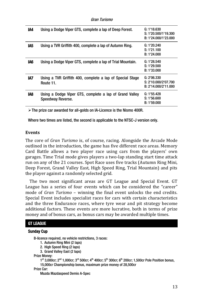| IA4 | Using a Dodge Viper GTS, complete a lap of Deep Forest.                      | G: 1'18.630<br>S: 1'20.500/1'19.300<br>B: 1'24.000/1'23.000 |
|-----|------------------------------------------------------------------------------|-------------------------------------------------------------|
| IA5 | Using a TVR Griffith 400, complete a lap of Autumn Ring.                     | G: 1'20.240<br>S: 1'21.100<br>B: 1'24.000                   |
| IA6 | Using a Dodge Viper GTS, complete a lap of Trial Mountain.                   | G: 1'28.540<br>S: 1'29.500<br>B: 1'33.000                   |
| IA7 | Using a TVR Griffith 400, complete a lap of Special Stage<br>Route 11.       | G: 2'06.330<br>S: 2'10.000/2'07.700<br>B: 2'14.000/2'11.000 |
| IA8 | Using a Dodge Viper GTS, complete a lap of Grand Valley<br>Speedway Reverse. | G: 1'55.428<br>S: 1'56.600<br>B: 1'59.000                   |
|     |                                                                              |                                                             |

The prize car awarded for all-golds on IA-Licence is the Nismo 400R.

Where two times are listed, the second is applicable to the NTSC-J version only.

#### **Events**

The core of *Gran Turismo* is, of course, racing. Alongside the Arcade Mode outlined in the introduction, the game has five different race areas. Memory Card Battle allows a two player race using cars from the players' own garages. Time Trial mode gives players a two-lap standing start time attack run on any of the 21 courses. Spot Race uses five tracks (Autumn Ring Mini, Deep Forest, Grand Valley East, High Speed Ring, Trial Mountain) and pits the player against a randomly selected grid.

The two most significant areas are GT League and Special Event. GT League has a series of four events which can be considered the "career" mode of *Gran Turismo* – winning the final event unlocks the end credits. Special Event includes specialist races for cars with certain characteristics and the three Endurance races, where tyre wear and pit strategy become additional factors. These events are more lucrative, both in terms of prize money and of bonus cars, as bonus cars may be awarded multiple times.

#### GT LEAGUE

#### Sunday Cup

B-licence required, no vehicle restrictions, 3 races:

1. Autumn Ring Mini (2 laps)

2. High Speed Ring (2 laps)

3. Grand Valley East (2 laps)

Prize Money:

 $1^{st}$  3,000cr; 2<sup>nd</sup> 1,000cr; 3<sup>rd</sup> 500cr; 4<sup>th</sup> 400cr; 5<sup>th</sup> 300cr; 6<sup>th</sup> 200cr; 1,500cr Pole Position bonus, 15,000cr Championship bonus, maximum prize money of 28,500cr

Prize Car:

Mazda Mazdaspeed Demio A-Spec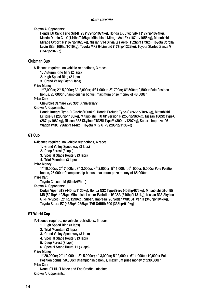Known AI Opponents:

Honda EG Civic Ferio SiR-II '93 (179hp/1074kg), Honda EK Civic SiR-II (177hp/1074kg), Mazda Demio GL-X (144hp/946kg), Mitsubishi Mirage Asti RX (167hp/1055kg), Mitsubishi Mirage Cyborg R (167hp/1025kg), Nissan S14 Silvia Q's Aero (152hp/1173kg), Toyota Corolla Levin BZG (169hp/1015kg), Toyota MR2 G-Limited (177hp/1222kg), Toyota Starlet Glanza V (154hp/907kg)

#### Clubman Cup

A-licence required, no vehicle restrictions, 3 races:

- 1. Autumn Ring Mini (2 laps)
- 2. High Speed Ring (2 laps)
- 3. Grand Valley East (2 laps)

#### Prize Money:

 $1^{\text{st}}$  7,000cr; 2<sup>nd</sup> 5,000cr; 3<sup>rd</sup> 2,000cr; 4<sup>th</sup> 1,000cr; 5<sup>th</sup> 700cr; 6<sup>th</sup> 500cr; 2,500cr Pole Position bonus, 20,000cr Championship bonus, maximum prize money of 48,500cr

Prize Car:

Chevrolet Camaro Z28 30th Anniversary

Known AI Opponents:

Honda Integra Type-R (252hp/1008kg), Honda Prelude Type-S (265hp/1097kg), Mitsubishi Eclipse GT (286hp/1180kg), Mitsubishi FTO GP version R (258hp/963kg), Nissan 180SX TypeX (287hp/1082kg), Nissan R33 Skyline GTS25t TypeM (300hp/1207kg), Subaru Impreza '96 Wagon WRX (296hp/1144kg), Toyota MR2 GT-S (296hp/1136kg)

#### GT Cup

A-licence required, no vehicle restrictions, 4 races:

- 1. Grand Valley Speedway (3 laps)
- 2. Deep Forest (3 laps)
- 3. Special Stage Route 5 (3 laps)
- 4. Trial Mountain (3 laps)

Prize Money:

 $1^{\text{st}}$  10,000cr; 2<sup>nd</sup> 7,000cr; 3<sup>rd</sup> 3,000cr; 4<sup>th</sup> 2,000cr; 5<sup>th</sup> 1,000cr; 6<sup>th</sup> 500cr; 5,000cr Pole Position bonus, 25,000cr Championship bonus, maximum prize money of 85,000cr

Prize Car:

Toyota Chaser LM (Black/White)

Known AI Opponents:

Dodge Viper GTS (440hp/1130kg), Honda NSX TypeSZero (409hp/976kg), Mitsubishi GTO '95 MR (504hp/1408kg), Mitsubishi Lancer Evolution IV GSR (340hp/1131kg), Nissan R33 Skyline GT-R V-Spec (521hp/1290kg), Subaru Impreza '96 Sedan WRX STi ver.III (340hp/1047kg), Toyota Supra RZ (452hp/1265kg), TVR Griffith 500 (333hp/919kg)

#### GT World Cup

IA-licence required, no vehicle restrictions, 6 races:

- 1. High Speed Ring (3 laps)
- 2. Trial Mountain (3 laps)
- 3. Grand Valley Speedway (3 laps)
- 4. Special Stage Route 5 (3 laps)
- 5. Deep Forest (3 laps)
- 6. Special Stage Route 11 (3 laps)

Prize Money:

 $1^{\text{st}}$  20,000cr;  $2^{\text{nd}}$  10,000cr;  $3^{\text{rd}}$  5,000cr;  $4^{\text{th}}$  3,000cr;  $5^{\text{th}}$  2,000cr; 6<sup>th</sup> 1,000cr; 10,000cr Pole Position bonus, 50,000cr Championship bonus, maximum prize money of 230,000cr Prize Car:

None; GT Hi-Fi Mode and End Credits unlocked Known AI Opponents: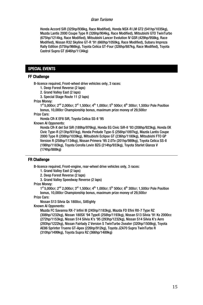Honda Accord SiR (325hp/936kg, Race Modified), Honda NSX-R LM GT2 (541hp/1035kg), Mazda Lantis 2000 Coupe Type R (326hp/904kg, Race Modified), Mitsubishi GTO TwinTurbo (675hp/1214kg, Race Modified), Mitsubishi Lancer Evolution IV GSR (429hp/958kg, Race Modified), Nissan R32 Skyline GT-R '91 (660hp/1050kg, Race Modified), Subaru Impreza Rally Edition (575hp/966kg), Toyota Celica GT-Four (326hp/887kg, Race Modified), Toyota Castrol Supra GT (646hp/1134kg)

#### SPECIAL EVENTS

#### FF Challenge

B-licence required, Front-wheel drive vehicles only, 3 races:

1. Deep Forest Reverse (2 laps)

2. Grand Valley East (2 laps)

3. Special Stage Route 11 (2 laps)

Prize Money:

 $1^{\text{st}}$  5,000cr; 2<sup>nd</sup> 2,000cr; 3<sup>rd</sup> 1,500cr; 4<sup>th</sup> 1,000cr; 5<sup>th</sup> 500cr; 6<sup>th</sup> 300cr; 1,500cr Pole Position bonus, 10,000cr Championship bonus, maximum prize money of 29,500cr

Prize Cars:

Honda CR-X EF8 SiR, Toyota Celica SS-II '95

Known AI Opponents:

Honda CR-X del Sol SiR (189hp/976kg), Honda EG Civic SiR-II '93 (208hp/923kg), Honda EK Civic Type-R (213hp/931kg), Honda Prelude Type-S (256hp/1097kg), Mazda Lantis Coupe 2000 Type R (208hp/1039kg), Mitsubishi Eclipse GT (236hp/1180kg), Mitsubishi FTO GP Version R (258hp/1134kg), Nissan Primera '95 2.0Te (201hp/989kg), Toyota Celica SS-II (198hp/1183kg), Toyota Corolla Levin BZG (214hp/933kg), Toyota Starlet Glanza V (174hp/888kg)

#### FR Challenge

B-licence required, Front-engine, rear-wheel drive vehicles only, 3 races:

1. Grand Valley East (2 laps)

2. Deep Forest Reverse (2 laps)

3. Grand Valley Speedway Reverse (2 laps)

Prize Money:

 $1^{st}$  5,000cr; 2<sup>nd</sup> 2,000cr; 3<sup>rd</sup> 1,500cr; 4<sup>th</sup> 1,000cr; 5<sup>th</sup> 500cr; 6<sup>th</sup> 300cr; 1,500cr Pole Position bonus, 10,000cr Championship bonus, maximum prize money of 29,500cr

Prize Cars:

Nissan S13 Silvia Qs 1800cc, SilEighty

Known AI Opponents:

Mazda FC Savanna RX-7 Infini III (245hp/1183kg), Mazda FD Efini RX-7 Type RZ (308hp/1232kg), Nissan 180SX '94 TypeX (258hp/1193kg), Nissan S13 Silvia '91 Ks 2000cc (272hp/1153kg), Nissan S14 Silvia K's '95 (293hp/1232kg), Nissan S14 Silvia K's Aero (293hp/1222kg), Nissan Fairlady Z Version S TwinTurbo 2seater (320hp/1508kg), Toyota AE86 Sprinter Trueno GT-Apex (226hp/912kg), Toyota JZA70 Supra TwinTurbo R (310hp/1499kg), Toyota Supra RZ (366hp/1489kg)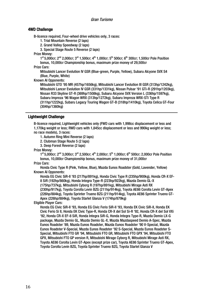#### 4WD Challenge

B-licence required, Four-wheel drive vehicles only, 3 races:

1. Trial Mountain Reverse (2 laps)

2. Grand Valley Speedway (2 laps)

3. Special Stage Route 5 Reverse (2 laps)

Prize Money:

 $1^{st}$  5.000cr: 2<sup>nd</sup> 2.000cr: 3<sup>rd</sup> 1.500cr; 4<sup>th</sup> 1,000cr; 5<sup>th</sup> 500cr; 6<sup>th</sup> 300cr; 1,500cr Pole Position bonus, 10,000cr Championship bonus, maximum prize money of 29,500cr

Prize Cars:

Mitsubishi Lancer Evolution IV GSR (Blue-green, Purple, Yellow), Subaru Alcyone SVX S4 (Blue, Purple, White)

Known AI Opponents:

Mitsubishi GTO '95 MR (457hp/1656kg), Mitsubishi Lancer Evolution III GSR (313hp/1242kg), Mitsubishi Lancer Evolution IV GSR (331hp/1331kg), Nissan Pulsar '91 GTi-R (291hp/1203kg), Nissan R33 Skyline GT-R (369hp/1508kg), Subaru Alcyone SVX Version L (336hp/1597kg), Subaru Impreza '96 Wagon WRX (313hp/1272kg), Subaru Impreza WRX-STi Type R (311hp/1222kg), Subaru Legacy Touring Wagon GT-B (318hp/1410kg), Toyota Celica GT-Four (304hp/1360kg)

#### Lightweight Challenge

B-licence required, Lightweight vehicles only (FWD cars with 1,998cc displacement or less and 1,170kg weight or less; RWD cars with 1,845cc displacement or less and 990kg weight or less; no race models), 3 races:

1. Autumn Ring Mini Reverse (2 laps)

2. Clubman Stage Route 5 (2 laps)

3. Deep Forest Reverse (2 laps)

Prize Money:

 $1^{st}$  5,000cr;  $2^{nd}$  3,000cr;  $3^{rd}$  2,500cr;  $4^{th}$  2,000cr;  $5^{th}$  1,000cr;  $6^{th}$  500cr; 2,000cr Pole Position bonus, 10,000cr Championship bonus, maximum prize money of 31,000cr

Prize Cars:

Honda Civic Type R (Pink, Yellow, Blue), Mazda Eunos Roadster (Gold, Lavender, Yellow) Known AI Opponents:

Honda EG Civic SiR-II '93 (217hp/891kg), Honda Civic Type R (235hp/900kg), Honda CR-X EF-8 SiR (192hp/860kg), Honda Integra Type-R (223hp/922kg), Mazda Demio GL-X

(175hp/737kg), Mitsubishi Cyborg R (197hp/891kg), Mitsubishi Mirage Asti RX

(230hp/917kg), Toyota Corolla Levin BZG (211hp/914kg), Toyota AE86 Corolla Levin GT-Apex (226hp/884kg), Toyota Sprinter Trueno BZG (211hp/914kg), Toyota AE86 Sprinter Trueno GT-Apex (226hp/884kg), Toyota Starlet Glanza V (174hp/879kg)

Eligible Player Cars:

Honda EG Civic SiR-II '93, Honda EG Civic Ferio SiR-II '93, Honda EK Civic SiR-II, Honda EK Civic Ferio Si II, Honda EK Civic Type-R, Honda CR-X del Sol Si-R '92, Honda CR-X del Sol VXi '92, Honda CR-X EF-8 SiR, Honda Integra SiR-G, Honda Integra Type-R, Mazda Demio LX-G package, Mazda Demio GL, Mazda Demio GL-X, Mazda Mazdaspeed Demio A-Spec, Mazda Eunos Roadster '89, Mazda Eunos Roadster, Mazda Eunos Roadster '90 V-Special, Mazda Eunos Roadster V-Special, Mazda Eunos Roadster '92 S-Special, Mazda Eunos Roadster S-Special, Mitsubishi FTO GR '94, Mitsubishi FTO GR, Mitsubishi FTO GPX '94, Mitsubishi FTO GPX, Mitsubishi FTO GP version R, Mitsubishi Mirage Cyborg R, Mitsubishi Mirage Asti RX, Toyota AE86 Corolla Levin GT-Apex (except prize car), Toyota AE86 Sprinter Trueno GT-Apex, Toyota Corolla Levin BZG, Toyota Sprinter Trueno BZG, Toyota Starlet Glanza V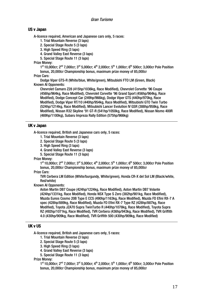#### US v Japan

A-licence required, American and Japanese cars only, 5 races:

- 1. Trial Mountain Reverse (3 laps)
- 2. Special Stage Route 5 (3 laps)
- 3. High Speed Ring (3 laps)
- 4. Grand Valley East Reverse (3 laps)
- 5. Special Stage Route 11 (3 laps)

Prize Money:

 $1^{\text{st}}$  10,000cr; 2<sup>nd</sup> 7,000cr; 3<sup>rd</sup> 5,000cr; 4<sup>th</sup> 2,000cr; 5<sup>th</sup> 1,000cr; 6<sup>th</sup> 500cr; 3,000cr Pole Position bonus, 20,000cr Championship bonus, maximum prize money of 85,000cr

#### Prize Cars:

Dodge Viper GTS-R (White/blue, White/green), Mitsubishi FTO LM (Green, Black) Known AI Opponents:

Chevrolet Camaro Z28 (415hp/1036kg, Race Modified), Chevrolet Corvette '96 Coupe (456hp/964kg, Race Modified), Chevrolet Corvette '96 Grand Sport (456hp/964kg, Race Modified), Dodge Concept Car (249hp/966kg), Dodge Viper GTS (440hp/970kg, Race Modified), Dodge Viper RT/10 (440hp/954kg, Race Modified), Mitsubishi GTO Twin Turbo (524hp/1214kg, Race Modified), Mitsubishi Lancer Evolution IV GSR (388hp/958kg, Race Modified), Nissan R32 Skyline '91 GT-R (541hp/1050kg, Race Modified), Nissan Nismo 400R (469hp/1100kg), Subaru Impreza Rally Edition (575hp/966kg)

#### UK v Japan

A-licence required, British and Japanese cars only, 5 races:

- 1. Trial Mountain Reverse (3 laps)
- 2. Special Stage Route 5 (3 laps)
- 3. High Speed Ring (3 laps)
- 4. Grand Valley East Reverse (3 laps)
- 5. Special Stage Route 11 (3 laps)

#### Prize Money:

 $1^{\text{st}}$  10,000cr; 2<sup>nd</sup> 7,000cr; 3<sup>rd</sup> 5,000cr; 4<sup>th</sup> 2,000cr; 5<sup>th</sup> 1,000cr; 6<sup>th</sup> 500cr; 3,000cr Pole Position bonus, 20,000cr Championship bonus, maximum prize money of 85,000cr

#### Prize Cars:

TVR Cerbera LM Edition (White/burgundy, White/green), Honda CR-X del Sol LM (Black/white, Red/white)

Known AI Opponents:

Aston Martin DB7 Coupe (424hp/1224kg, Race Modified), Aston Martin DB7 Volante (424hp/1331kg, Race Modified), Honda NSX Type S Zero (382hp/901kg, Race Modified), Mazda Eunos Cosmo 20B Type E CCS (490hp/1163kg, Race Modified), Mazda FD Efini RX-7 A spec (428hp/889kg, Race Modified), Mazda FD Efini RX-7 Type RZ (428hp/887kg, Race Modified), Toyota JZA70 Supra TwinTurbo R (440hp/1078kg, Race Modified), Toyota Supra RZ (492hp/1071kg, Race Modified), TVR Cerbera (436hp/943kg, Race Modified), TVR Griffith 4.0 (430hp/909kg, Race Modified), TVR Griffith 500 (430hp/909kg, Race Modified)

#### UK v US

A-licence required, British and Japanese cars only, 5 races:

- 1. Trial Mountain Reverse (3 laps)
- 2. Special Stage Route 5 (3 laps)
- 3. High Speed Ring (3 laps)
- 4. Grand Valley East Reverse (3 laps)
- 5. Special Stage Route 11 (3 laps)

Prize Money:

 $1^{\text{st}}$  10,000cr;  $2^{\text{nd}}$  7,000cr;  $3^{\text{rd}}$  5,000cr;  $4^{\text{th}}$  2,000cr;  $5^{\text{th}}$  1,000cr;  $6^{\text{th}}$  500cr; 3,000cr Pole Position bonus, 20,000cr Championship bonus, maximum prize money of 85,000cr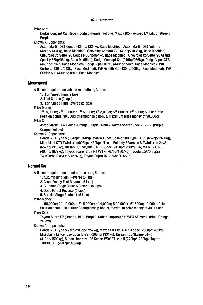Prize Cars:

Dodge Concept Car Race modified (Purple, Yellow), Mazda RX-7 A-spec LM Edition (Green, Purple)

Known AI Opponents:

Aston Martin DB7 Coupe (424hp/1224kg, Race Modified), Aston Martin DB7 Volante (424hp/1331kg, Race Modified), Chevrolet Camaro Z28 (415hp/1036kg, Race Modified), Chevrolet Corvette '96 Coupe (456hp/964kg, Race Modified), Chevrolet Corvette '96 Grand Sport (456hp/964kg, Race Modified), Dodge Concept Car (249hp/966kg), Dodge Viper GTS (440hp/970kg, Race Modified), Dodge Viper RT/10 (440hp/954kg, Race Modified), TVR Cerbera (436hp/943kg, Race Modified), TVR Griffith 4.0 (430hp/909kg, Race Modified), TVR Griffith 500 (430hp/909kg, Race Modified)

#### Megaspeed

A-licence required, no vehicle restrictions, 3 races:

1. High Speed Ring (2 laps)

2. Test Course (2 laps)

3. High Speed Ring Reverse (2 laps)

Prize Money:

 $1<sup>st</sup>$  15,000cr; 2<sup>nd</sup> 10,000cr; 3<sup>rd</sup> 5,000cr; 4<sup>th</sup> 2,000cr; 5<sup>th</sup> 1,000cr; 6<sup>th</sup> 500cr; 5,000cr Pole Position bonus, 30,000cr Championship bonus, maximum prize money of 90,000cr

Prize Cars:

Aston Martin DB7 Coupe (Orange, Purple, White), Toyota Soarer 2.5GT-T VVT-i (Purple, Orange ,Yellow)

Known AI Opponents:

Honda NSX Type S (534hp/1014kg), Mazda Eunos Cosmo 20B Type E CCS (652hp/1374kg), Mitsubishi GTO TwinTurbo(903hp/1432kg), Nissan Fairlady Z Version S TwinTurbo 2by2 (652hp/1315kg), Nissan R33 Skyline GT-R V-Spec (915hp/1290kg), Toyota MR2 GT-S (465hp/1072kg), Toyota Soarer 2.5GT-T VVT-i (767hp/1307kg), Toyota JZA70 Supra TwinTurbo R (649hp/1274kg), Toyota Supra RZ (876hp/1265kg)

#### Normal Car

A-licence required, no tuned or race cars, 5 races:

- 1. Autumn Ring Mini Reverse (5 laps)
- 2. Grand Valley East Reverse (5 laps)
- 3. Clubman Stage Route 5 Reverse (5 laps)
- 4. Deep Forest Reverse (5 laps)
- 5. Special Stage Route 11 (5 laps)

Prize Money:

 $1^{st}$  50,000cr; 2<sup>nd</sup> 10,000cr; 3<sup>rd</sup> 5,000cr; 4<sup>th</sup> 4,000cr; 5<sup>th</sup> 2,000cr; 6<sup>th</sup> 500cr; 10,000cr Pole Position bonus, 100,000cr Championship bonus, maximum prize money of 400,000cr

Prize Cars:

Toyota Supra RZ (Orange, Blue, Purple), Subaru Impreza '96 WRX STi ver.III (Blue, Orange, Yellow)

Known AI Opponents:

Honda NSX Type S Zero (285hp/1252kg), Mazda FD Efini RX-7 A spec (256hp/1203kg), Mitsubishi Lancer Evolution IV GSR (268hp/1331kg), Nissan R33 Skyline GT-R (310hp/1508kg), Subaru Impreza '96 Sedan WRX STi ver.III (270hp/1232kg), Toyota TRD3000GT (291hp/1489kg)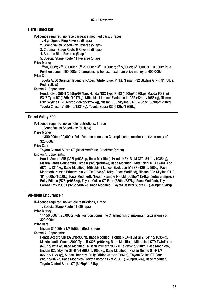#### Hard Tuned Car

IA-licence required, no race cars/race modified cars, 5 races

- 1. High Speed Ring Reverse (5 laps)
- 2. Grand Valley Speedway Reverse (5 laps)
- 3. Clubman Stage Route 5 Reverse (5 laps)
- 4. Autumn Ring Reverse (5 laps)

5. Special Stage Route 11 Reverse (5 laps)

Prize Money:

 $1^{\text{st}}$  50,000cr; 2<sup>nd</sup> 30,000cr; 3<sup>rd</sup> 20,000cr; 4<sup>th</sup> 10,000cr; 5<sup>th</sup> 5,000cr; 6<sup>th</sup> 1,000cr; 10,000cr Pole Position bonus, 100,000cr Championship bonus, maximum prize money of 400,000cr

Prize Cars:

Toyota AE86 Sprinter Trueno GT-Apex (White, Blue, Pink), Nissan R32 Skyline GT-R '91 (Blue, Red, Yellow)

Known AI Opponents:

Honda Civic SiR-II (265hp/934kg), Honda NSX Type R '92 (490hp/1030kg), Mazda FD Efini RX-7 Type RZ (486hp/1047kg), Mitsubishi Lancer Evolution III GSR (424hp/1056kg), Nissan R32 Skyline GT-R Nismo (592hp/1257kg), Nissan R33 Skyline GT-R V-Spec (669hp/1290kg), Toyota Chaser V (504hp/1231kg), Toyota Supra RZ (612hp/1265kg)

#### Grand Valley 300

IA-licence required, no vehicle restrictions, 1 race

1. Grand Valley Speedway (60 laps)

Prize Money:

1st 300,000cr; 20,000cr Pole Position bonus, no Championship, maximum prize money of 320,000cr

Prize Cars:

Toyota Castrol Supra GT (Black/red/blue, Black/red/green)

Known AI Opponents:

Honda Accord SiR (326hp/936hp, Race Modified), Honda NSX-R LM GT2 (541hp/1035kg), Mazda Lantis Coupe 2000 Type R (326hp/904kg, Race Modified), Mitsubishi GTO TwinTurbo (675hp/1214kg, Race Modified), Mitsubishi Lancer Evolution IV GSR (429hp/958kg, Race Modified), Nissan Primera '90 2.0 Te (324hp/918kg, Race Modified), Nissan R32 Skyline GT-R '91 (660hp/1050kg, Race Modified), Nissan Nismo GT-R LM (653hp/1124kg), Subaru Impreza Rally Edition (575hp/966kg), Toyota Celica GT-Four (326hp/887kg, Race Modified), Toyota Corona Exiv 200GT (326hp/887kg, Race Modified), Toyota Castrol Supra GT (646hp/1134kg)

#### All-Night Endurance 1

IA-licence required, no vehicle restrictions, 1 race

1. Special Stage Route 11 (30 laps)

Prize Money:

1st 150,000cr; 20,000cr Pole Position bonus, no Championship, maximum prize money of 320,000cr

Prize Cars:

Nissan S14 Silvia LM Edition (Red, Green)

Known AI Opponents:

Honda Accord SiR (326hp/936hp, Race Modified), Honda NSX-R LM GT2 (541hp/1035kg), Mazda Lantis Coupe 2000 Type R (326hp/904kg, Race Modified), Mitsubishi GTO TwinTurbo (675hp/1214kg, Race Modified), Nissan Primera '90 2.0 Te (324hp/918kg, Race Modified), Nissan R32 Skyline GT-R '91 (660hp/1050kg, Race Modified), Nissan Nismo GT-R LM (653hp/1124kg), Subaru Impreza Rally Edition (575hp/966kg), Toyota Celica GT-Four (326hp/887kg, Race Modified), Toyota Corona Exiv 200GT (326hp/887kg, Race Modified), Toyota Castrol Supra GT (646hp/1134kg)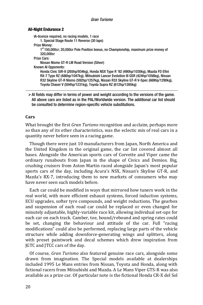#### All-Night Endurance 2

IA-licence required, no racing models, 1 race

1. Special Stage Route 11 Reverse (30 laps)

Prize Money:

1<sup>st</sup> 150,000cr; 20,000cr Pole Position bonus, no Championship, maximum prize money of 320,000cr

Prize Cars:

Nissan Nismo GT-R LM Road Version (Silver)

Known AI Opponents:

Honda Civic SiR-II (265hp/934kg), Honda NSX Type R '92 (490hp/1030kg), Mazda FD Efini RX-7 Type RZ (486hp/1047kg), Mitsubishi Lancer Evolution III GSR (424hp/1056kg), Nissan R32 Skyline GT-R Nismo (592hp/1257kg), Nissan R33 Skyline GT-R V-Spec (669hp/1290kg), Toyota Chaser V (504hp/1231kg), Toyota Supra RZ (612hp/1265kg)

 $\triangleright$  AI fields may differ in terms of power and weight according to the versions of the game. All above cars are listed as in the PAL/Worldwide version. The additional car list should be consulted to determine region-specific vehicle substitutions.

#### **Cars**

What brought the first *Gran Turismo* recognition and acclaim, perhaps more so than any of its other characteristics, was the eclectic mix of real cars in a quantity never before seen in a racing game.

Though there were just 10 manufacturers from Japan, North America and the United Kingdom in the original game, the car list covered almost all bases. Alongside the American sports cars of Corvette and Viper came the ordinary runabouts from Japan in the shape of Civics and Demios. Big, crushing cruisers from Aston Martin raced alongside Japan's most popular sports cars of the day, including Acura's NSX, Nissan's Skyline GT-R, and Mazda's RX-7, introducing them to new markets of consumers who may have never seen such models before.

Each car could be modified in ways that mirrored how tuners work in the real world, with more efficient exhaust systems, forced induction systems, ECU upgrades, softer tyre compounds, and weight reductions. The gearbox and suspension of each road car could be replaced or even changed for minutely adjustable, highly-variable race kit, allowing individual set-ups for each car on each track. Camber, toe, bound/rebound and spring rates could be set, changing the behaviour and attitude of the car. Full "racing modifications" could also be performed, replacing large parts of the vehicle structure while adding downforce-generating wings and splitters, along with preset paintwork and decal schemes which drew inspiration from JGTC and JTCC cars of the day.

Of course, *Gran Turismo* also featured genuine race cars, alongside some drawn from imagination. The Special models available at dealerships included 1995 Le Mans entries from Nissan, Toyota and Honda, along with fictional racers from Mitsubishi and Mazda. A Le Mans Viper GTS-R was also available as a prize car. Of particular note is the fictional Honda CR-X del Sol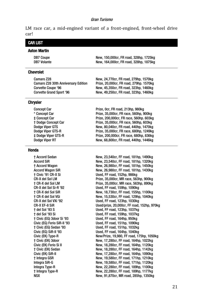LM race car, a mid-engined variant of a front-engined, front-wheel drive car!

#### CAR LIST Aston Martin DB7 Coupe New, 150,000cr, FR road, 328hp, 1725kg DB7 Volante New, 164,000cr, FR road, 328hp, 1875kg Chevrolet Camaro Z28 New, 24,770cr, FR road, 279hp, 1570kg Camaro Z28 30th Anniversary Edition Prize, 20,000cr, FR road, 279hp. 1570kg Corvette Coupe '96 Mew, 45,350cr, FR road, 323hp, 1460kg Corvette Grand Sport '96 New, 49,250cr, FR road, 323hp, 1460kg **Chrysler** Concept Car **Prize, Ocr, FR road, 213hp, 980kg** \* Concept Car Prize, 35,000cr, FR race, 560hp, 900kg ‡ Concept Car Prize, 200,000cr, FR race, 560hp. 603kg † Dodge Concept Car Prize, 35,000cr, FR race, 560hp, 603kg Dodge Viper GTS New, 80,040cr, FR road, 440hp, 1470kg Dodge Viper GTS-R Prize, 35,000cr, FR race, 680hp, 1249kg ‡ Dodge Viper GTS-R Prize, 200,000cr, FR race, 680hp, 836kg Dodge Viper RT New, 68,800cr, FR road, 440hp, 1446kg Honda † Accord Sedan New, 23,540cr, FF road, 181hp, 1490kg Accord SiR New, 23,540cr, FF road, 181hp, 1320kg † Accord Wagon New, 26,980cr, FF road, 181hp, 1450kg Accord Wagon SiR New, 26,980cr, FF road, 181hp, 1430kg † Civic '91 CR-X Si Used, FF road, 152hp, 986kg CR-X del Sol LM Prize, 35,000cr, MR race, 563hp, 900kg † CR-X del Sol LM Prize, 35,000cr, MR race, 563hp, 890kg CR-X del Sol Si-R '92 Used, FF road, 159hp, 1090kg † CR-X del Sol SiR New, 18,730cr, FF road, 155hp, 1100kg † CR-X del Sol VGi New, 15,530cr, FF road, 129hp, 1040kg CR-X del Sol VXi '92 Used, FF road, 123hp, 1030kg CR-X EF-8 SiR Used/prize, 20,000cr, FF road, 152hp, 970kg † del Sol '93 S Used, FF road, 123hp, 1037kg † del Sol '93 Si Used, FF road, 159hp, 1037kg † Civic (EG) 3door Si '93 Used, FF road, 164hp, 950kg Civic (EG) Ferio SiR-II '93 Used, FF road, 151hp, 1090kg † Civic (EG) Sedan '93 Used, FF road, 151hp, 1032kg Civic (EG) SiR-II '93 Used, FF road, 164hp, 1040kg

Civic (EK) Type-R New/Prize, 19,980, FF road, 175hp, 1050kg † Civic (EK) 3door New, 17,280cr, FF road, 164hp, 1022kg Civic (EK) Ferio Si II New, 18,280cr, FF road, 164hp, 1120kg † Civic (EK) Sedan New, 18,280cr, FF road, 164hp, 1142kg

† Integra GSR New, 19,580cr, FF road, 171hp, 1210kg Integra SiR-G New, 19,580cr, FF road, 171hp, 1120kg Integra Type-R New, 22,280cr, FF road, 189hp, 1100kg † Integra Type-R New, 22,280cr, FF road, 189hp, 1177kg NSX New, 91,870cr, MR road, 285hp, 1350kg

New, 17,280cr, FF road, 164hp, 1090kg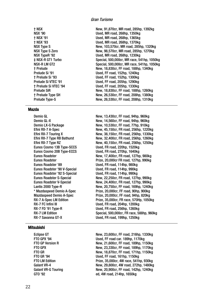† NSX New, 91,870cr, MR road, 285hp, 1392kg NSX '90 Used, MR road, 268hp, 1350kg † NSX '91 Used, MR road, 268hp, 1365kg † NSX '93 Used, MR road, 268hp, 1370kg NSX Type S New, 103,570cr, MR road, 285hp, 1320kg NSX Type S Zero New, 98,570cr, MR road, 285hp, 1270kg Used, MR road, 268hp, 1230kg ‡ NSX-R GT1 Turbo Special, 500,000cr, MR race, 541hp, 1050kg NSX-R LM GT2 Special, 500,000cr, MR race, 541hp, 1050kg † Prelude New, 18,830cr, FF road, 188hp, 1340kg Used, FF road, 152hp, 1240kg † Prelude Si '93 Used, FF road, 152hp, 1300kg Prelude Si VTEC '91 Used, FF road, 205hp, 1290kg † Prelude Si VTEC '94 Used, FF road, 205hp, 1330kg Prelude SiR New, 18,830cr, FF road, 188hp, 1260kg New, 26,530cr, FF road, 208hp, 1380kg Prelude Type-S New, 26,530cr, FF road, 208hp, 1310kg

#### Mazda

Eunos Roadster '89 Used, FR road, 114hp, 980kg Eunos Roadster '90 V-Special Used, FR road, 114hp, 990kg Eunos Roadster '92 S-Special Used, FR road, 114hp, 990kg RX-7 LM Edition Special, 500,000cr, FR race, 588hp, 960kg RX-7 Savanna GT-X Used, FR road, 199hp, 1250kg

#### Demio GL **New, 13,430cr, FF road, 94hp, 960kg** Demio GL-X New, 14,560cr, FF road, 94hp, 960kg Demio LX-G Package New, 10,530cr, FF road, 77hp, 910kg Efini RX-7 A-Spec New, 45,150cr, FR road, 256hp, 1220kg Efini RX-7 Touring X New, 38,150cr, FR road, 256hp, 1330kg Efini RX-7 Type RB Bathurst New, 32,400cr, FR road, 256hp, 1260kg Efini RX-7 Type RZ New, 40,150cr, FR road, 256hp, 1250kg Eunos Cosmo 13B Type-SCCS Used, FR road, 220hp, 1520kg Eunos Cosmo 20B Type-ECCS Used, FR road, 270hp, 1640kg Eunos Roadster New, 17,400cr, FR road, 127hp, 980kg Prize, 20,000cr FR road, 127hp, 990kg Eunos Roadster S-Special New, 22,250cr, FR road, 127hp, 990kg Eunos Roadster V-Special New, 24,400cr, FR road, 127hp, 990kg Lantis 2000 Type-R New, 20,750cr, FF road, 169hp, 1240kg \* Mazdaspeed Demio A-Spec Prize, 20,000cr, FF road, 90hp, 900kg Mazdaspeed Demio A-Spec Prize, 20,000cr, FF road, 94hp, 820kg Prize, 35,000cr, FR race, 570Hp, 1050kg RX-7 FC Infini III Used, FR road, 204hp, 1200kg Used, FR road, 256hp, 1260kg

#### Mitsubishi

Eclipse GT New, 23,600cr, FF road, 216hp, 1330kg FTO GPX '94 Used, FF road car. 189hp, 1170kg FTO GP Version R New, 21,600cr, FF road, 189hp, 1150kg FTO GPX New, 23,330cr, FF road, 189hp, 1170kg FTO GR New, 18,870cr, FF road, 171hp, 1150kg FTO GR '94 CHO CHO CHO USed, FF road, 161hp, 1150kg<br>FTO I M Edition CHO CHO Prize, 35,000cr, 4W race, 541h Prize, 35,000cr, 4W race, 541hp, 930kg Galant VR-4 **New, 29,800cr, 4W road, 272hp, 1480kg** Galant VR-G Touring The Mew, 20,900cr, FF road, 142hp, 1240kg GTO '92 ed, 4W road, 214hp, 1650kg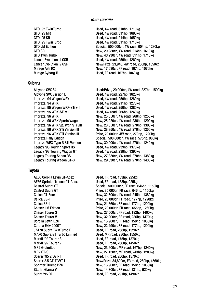#### Subaru

Alcyone SVX Version L<br>
Used, 4W road, 227hp, 1620kg Impreza '94 Wagon WRX Used, 4W road, 250hp, 1280kg Impreza '94 WRX Used, 4W road, 211hp, 1270kg Impreza '95 Wagon WRX-STi v II Used, 4W road, 250hp, 1280kg Impreza '95 WRX-STi v II Used, 4W road, 266hp, 1240kg Legacy '93 Touring Sport RS Used, 4W road, 239hp, 1370kg Legacy '93 Touring Wagon GT Used, 4W road, 239hp, 1390kg

#### Toyota

AE86 Corolla Levin GT-Apex Used, FR road, 133hp, 925kg AE86 Sprinter Trueno GT-Apex Used, FR road, 133hp, 925kg MA70 Supra GT Turbo Limited MarkII '92 Tourer S Used, FR road, 175hp, 1370kg MarkII '92 Tourer V Used, FR road, 266hp, 1450kg Soarer '95 2.5GT-T Used, FR road, 266hp, 1570kg

GTO '92 TwinTurbo Used, 4W road, 310hp, 1710kg GTO '95 MR Used, 4W road, 311hp, 1680kg GTO '95 SR Used, 4W road, 214hp, 1650kg GTO '95 TwinTurbo Used, 4W road, 311hp, 1710kg Special, 500,000cr, 4W race, 604hp, 1280kg GTO SR New, 29,980cr, 4W road, 214hp, 1610kg New, 43,230cr, 4W road, 311hp, 1710kg Lancer Evolution III GSR Used, 4W road, 259hp, 1260kg Lancer Evolution IV GSR New/Prize, 23,940, 4W road, 268hp, 1350kg Mirage Asti RX New, 17,630cr, FF road, 167hp, 1070kg Mirage Cyborg-R Used, FF road, 167hp, 1040kg

Alcyone SVX S4 Used/Prize, 20,000cr, 4W road, 227hp, 1590kg Impreza '96 WRX New, 25,550cr, 4W road, 268hp, 1250kg New, 25,220cr, 4W road, 236hp, 1290kg Impreza '96 WRX Sp. Wgn STi vIII New, 28,850cr, 4W road, 270hp, 1300kg Impreza '96 WRX STi Version III New, 28,850cr, 4W road, 270hp, 1250kg Prize, 20,000cr, 4W road, 270hp, 1220kg Impreza Rally Edition Special, 500,000cr, 4W race, 575hp, 980kg Impreza WRX Type R STi Version New, 30,000cr, 4W road, 270hp, 1240kg New, 27,330cr, 4W road, 270hp, 1380kg Legacy Touring Wagon GT-B New, 29,330cr, 4W road, 270hp, 1430kg

Castrol Supra GT Special, 500,000cr, FR race, 646hp, 1150kg Castrol Supra GT **Castrol Supra GT** Prize, 35,000cr, FR race, 646hp, 1150kg<br>Celica GT-Four **Prize, Prize, Prize, 2000**cr, 4W road, 245hp, 1380kg New, 32,600cr, 4W road, 245hp, 1380kg Celica SS-II Prize, 20,000cr, FF road, 177hp, 1220kg Celica SS-II New, 21,360cr, FF road, 177hp, 1200kg Chaser LM Edition **Chaser LM Edition Prize, 20,000cr, FR race, 655hp, 1260kg**<br>Chaser Tourer S **Research Prize, Prize, Prize, Prize, 27,500**cr, FR road, 192hp, 1400kg New, 27,500cr, FR road, 192hp, 1400kg Chaser Tourer V New, 32,200cr, FR road, 286hp, 1470kg New, 16,900cr, FF road, 158hp, 1030kg Corona Exiv 200GT New, 22,290cr, FF road, 177hp, 1200kg JZA70 Supra TwinTurbo R Used, FR road, 268hp, 1520kg MR2 G-Limited New, 23,600cr, MR road, 167hp, 1240kg MR2 GT-S New, 27,130cr, MR road, 243hp, 1280kg Soarer 2.5 GT-T VVT-i New/Prize, 34,800cr, FR road, 269hp, 1560kg New, 16,900cr, FF road, 158hp, 1030kg Starlet Glanza V **New, 14,300cr, FF road, 131hp, 920kg** Supra '95 RZ Used, FR road, 291hp, 1490kg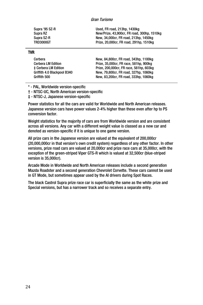| Supra '95 SZ-R   | Used. FR road. 213hp. 1430kg                |
|------------------|---------------------------------------------|
| Supra RZ         | New/Prize, 43,900cr, FR road, 300hp, 1510kg |
| Supra SZ-R       | New, 34,000cr, FR road, 213hp, 1450kg       |
| <b>TRD3000GT</b> | Prize, 20,000cr, FR road, 291hp, 1510kg     |

#### TVR

| Cerbera                     | New, 84,800cr, FR road, 343hp, 1100kg   |
|-----------------------------|-----------------------------------------|
| <b>Cerbera LM Edition</b>   | Prize, 35,000cr, FR race, 581hp, 900kg  |
| ± Cerbera LM Edition        | Prize, 200,000cr, FR race, 581hp, 603kg |
| Griffith 4.0 Blackpool B340 | New, 79,800cr, FR road, 327hp, 1060kg   |
| Griffith 500                | New, 83,200cr, FR road, 333hp, 1060kg   |
|                             |                                         |

\* - PAL, Worldwide version-specific

† - NTSC-UC, North American version-specific

‡ - NTSC-J, Japanese version-specific

Power statistics for all the cars are valid for Worldwide and North American releases. Japanese version cars have power values 2-4% higher than these even after hp to PS conversion factor.

Weight statistics for the majority of cars are from Worldwide version and are consistent across all versions. Any car with a different weight value is classed as a new car and denoted as version-specific if it is unique to one game version.

All prize cars in the Japanese version are valued at the equivalent of 200,000cr (20,000,000cr in that version's own credit system) regardless of any other factor. In other versions, prize road cars are valued at 20,000cr and prize race cars at 35,000cr, with the exception of the green-striped Viper GTS-R which is valued at 32,500cr (blue-striped version is 35,000cr).

Arcade Mode in Worldwide and North American releases include a second generation Mazda Roadster and a second generation Chevrolet Corvette. These cars cannot be used in GT Mode, but sometimes appear used by the AI drivers during Spot Races.

The black Castrol Supra prize race car is superficially the same as the white prize and Special versions, but has a narrower track and so receives a separate entry.